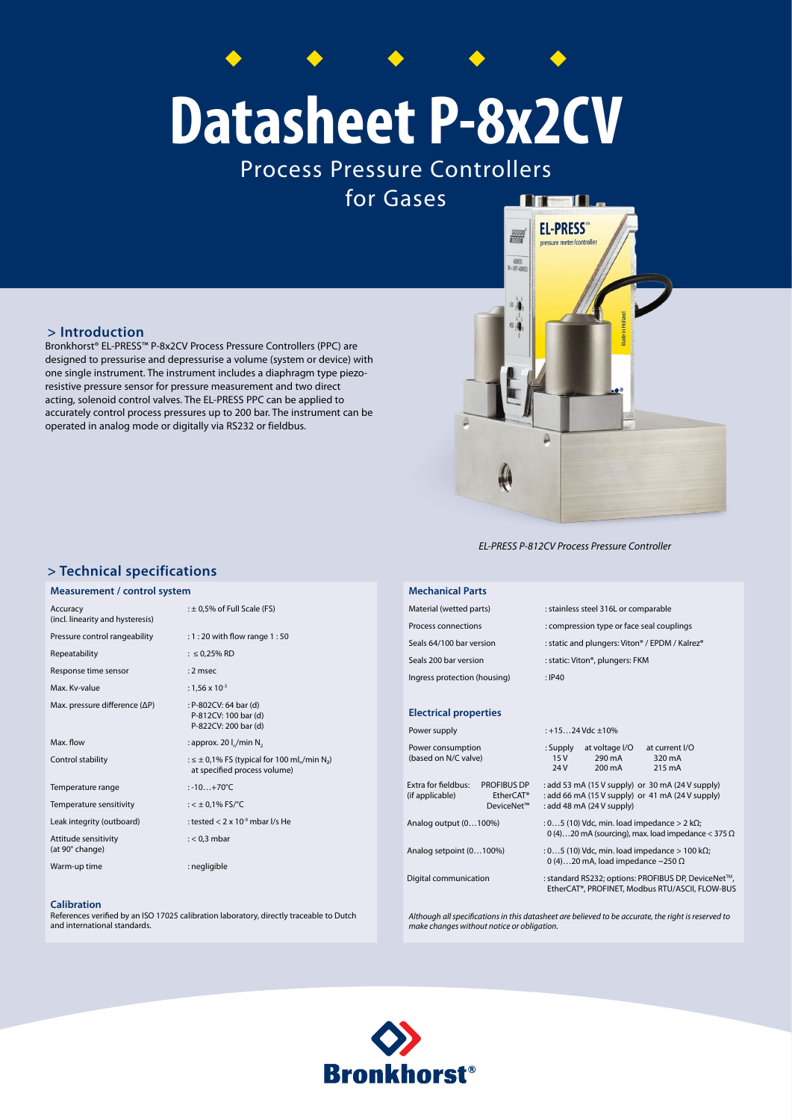# **Datasheet P-8x2CV**

Process Pressure Controllers

for Gases

## **> Introduction**

Bronkhorst® EL-PRESS™ P-8x2CV Process Pressure Controllers (PPC) are designed to pressurise and depressurise a volume (system or device) with one single instrument. The instrument includes a diaphragm type piezoresistive pressure sensor for pressure measurement and two direct acting, solenoid control valves. The EL-PRESS PPC can be applied to accurately control process pressures up to 200 bar. The instrument can be operated in analog mode or digitally via RS232 or fieldbus.

*EL-PRESS P-812CV Process Pressure Controller*

Δ

**DIE** 

 $\blacksquare$ 

**EL-PRESS** 

## **> Technical specifications**

#### **Measurement / control system**

| Accuracy<br>(incl. linearity and hysteresis) | $: \pm 0.5\%$ of Full Scale (FS)                                                                             |  |  |
|----------------------------------------------|--------------------------------------------------------------------------------------------------------------|--|--|
| Pressure control rangeability                | : 1 : 20 with flow range 1 : 50                                                                              |  |  |
| Repeatability                                | : $\leq$ 0,25% RD                                                                                            |  |  |
| Response time sensor                         | $: 2$ msec                                                                                                   |  |  |
| Max. Kv-value                                | : $1,56 \times 10^{-3}$                                                                                      |  |  |
| Max. pressure difference (ΔP)                | : P-802CV: 64 bar (d)<br>P-812CV: 100 bar (d)<br>P-822CV: 200 bar (d)                                        |  |  |
| Max. flow                                    | : approx. 20 $I_n/m$ in N <sub>2</sub>                                                                       |  |  |
| Control stability                            | : $\leq \pm 0.1\%$ FS (typical for 100 ml <sub>n</sub> /min N <sub>2</sub> )<br>at specified process volume) |  |  |
| Temperature range                            | $: -10+70^{\circ}C$                                                                                          |  |  |
| Temperature sensitivity                      | : $<$ $\pm$ 0,1% FS/°C                                                                                       |  |  |
| Leak integrity (outboard)                    | : tested $< 2 \times 10-9$ mbar I/s He                                                                       |  |  |
| Attitude sensitivity<br>(at 90° change)      | $: < 0.3$ mbar                                                                                               |  |  |
| Warm-up time                                 | : negligible                                                                                                 |  |  |

#### **Calibration**

References verified by an ISO 17025 calibration laboratory, directly traceable to Dutch and international standards.

Material (wetted parts) : stainless steel 316L or comparable Process connections : compression type or face seal couplings Seals 64/100 bar version : static and plungers: Viton® / EPDM / Kalrez® Seals 200 bar version : static: Viton®, plungers: FKM Ingress protection (housing) : IP40

#### **Electrical properties**

**Mechanical Parts**

| Power supply                              |                                                           | : +1524 Vdc $\pm$ 10%                                                                                                             |                                              |                                    |  |
|-------------------------------------------|-----------------------------------------------------------|-----------------------------------------------------------------------------------------------------------------------------------|----------------------------------------------|------------------------------------|--|
| Power consumption<br>(based on N/C valve) |                                                           | : Supply<br>15V<br>24V                                                                                                            | at voltage I/O<br>290 mA<br>$200 \text{ mA}$ | at current I/O<br>320 mA<br>215 mA |  |
| Extra for fieldbus:<br>(if applicable)    | <b>PROFIBUS DP</b><br>EtherCAT <sup>®</sup><br>DeviceNet™ | : add 53 mA (15 V supply) or 30 mA (24 V supply)<br>: add 66 mA (15 V supply) or 41 mA (24 V supply)<br>: add 48 mA (24 V supply) |                                              |                                    |  |
| Analog output (0100%)                     |                                                           | : 05 (10) Vdc, min. load impedance $> 2$ k $\Omega$ ;<br>0 (4)20 mA (sourcing), max. load impedance $<$ 375 $\Omega$              |                                              |                                    |  |
| Analog setpoint (0100%)                   |                                                           | : 05 (10) Vdc, min. load impedance $> 100$ k $\Omega$ ;<br>0 (4)20 mA, load impedance ~250 $\Omega$                               |                                              |                                    |  |
| Digital communication                     |                                                           | : standard RS232; options: PROFIBUS DP, DeviceNet™,<br>EtherCAT®, PROFINET, Modbus RTU/ASCII, FLOW-BUS                            |                                              |                                    |  |

*Although all specifications in this datasheet are believed to be accurate, the right is reserved to make changes without notice or obligation.*